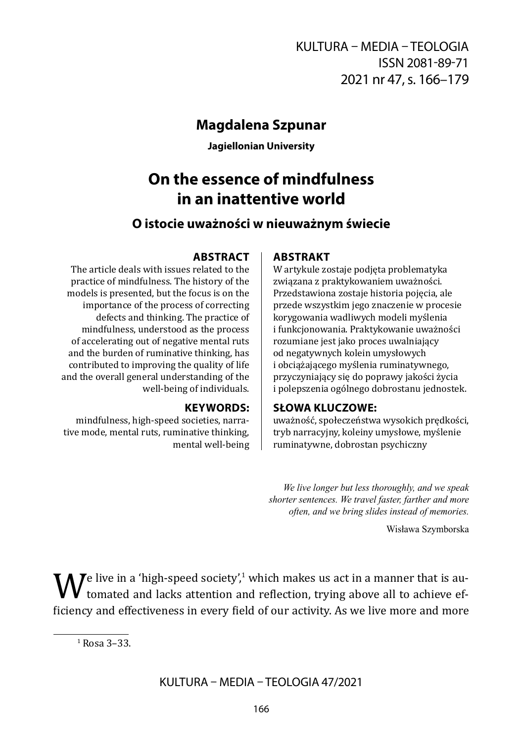## **Magdalena Szpunar**

**Jagiellonian University**

# **On the essence of mindfulness in an inattentive world**

### **O istocie uważności w nieuważnym świecie**

#### **ABSTRACT**

The article deals with issues related to the practice of mindfulness. The history of the models is presented, but the focus is on the importance of the process of correcting defects and thinking. The practice of mindfulness, understood as the process of accelerating out of negative mental ruts and the burden of ruminative thinking, has contributed to improving the quality of life and the overall general understanding of the well-being of individuals.

#### **KEYWORDS:**

mindfulness, high-speed societies, narrative mode, mental ruts, ruminative thinking, mental well-being

# **ABSTRAKT**

W artykule zostaje podjęta problematyka związana z praktykowaniem uważności. Przedstawiona zostaje historia pojęcia, ale przede wszystkim jego znaczenie w procesie korygowania wadliwych modeli myślenia i funkcjonowania. Praktykowanie uważności rozumiane jest jako proces uwalniający od negatywnych kolein umysłowych i obciążającego myślenia ruminatywnego, przyczyniający się do poprawy jakości życia i polepszenia ogólnego dobrostanu jednostek.

#### **SŁOWA KLUCZOWE:**

uważność, społeczeństwa wysokich prędkości, tryb narracyjny, koleiny umysłowe, myślenie ruminatywne, dobrostan psychiczny

*We live longer but less thoroughly, and we speak shorter sentences. We travel faster, farther and more often, and we bring slides instead of memories.*

Wisława Szymborska

 $\mathbf{W}^{\text{e}}$  live in a 'high-speed society',<sup>1</sup> which makes us act in a manner that is au-<br>ficiency and effectiveness in every field of our activity. As we live more and more I tomated and lacks attention and reflection, trying above all to achieve efficiency and effectiveness in every field of our activity. As we live more and more

<sup>1</sup>  Rosa 3–33.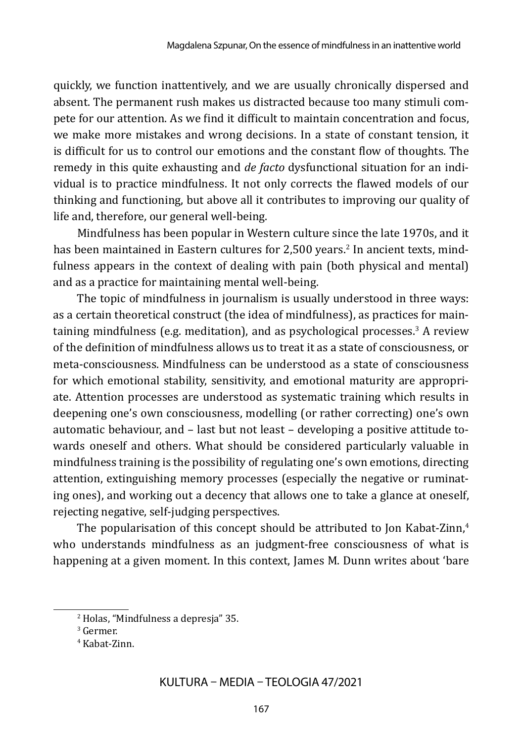quickly, we function inattentively, and we are usually chronically dispersed and absent. The permanent rush makes us distracted because too many stimuli compete for our attention. As we find it difficult to maintain concentration and focus, we make more mistakes and wrong decisions. In a state of constant tension, it is difficult for us to control our emotions and the constant flow of thoughts. The remedy in this quite exhausting and *de facto* dysfunctional situation for an individual is to practice mindfulness. It not only corrects the flawed models of our thinking and functioning, but above all it contributes to improving our quality of life and, therefore, our general well-being.

Mindfulness has been popular in Western culture since the late 1970s, and it has been maintained in Eastern cultures for 2,500 years.<sup>2</sup> In ancient texts, mindfulness appears in the context of dealing with pain (both physical and mental) and as a practice for maintaining mental well-being.

The topic of mindfulness in journalism is usually understood in three ways: as a certain theoretical construct (the idea of mindfulness), as practices for maintaining mindfulness (e.g. meditation), and as psychological processes.<sup>3</sup> A review of the definition of mindfulness allows us to treat it as a state of consciousness, or meta-consciousness. Mindfulness can be understood as a state of consciousness for which emotional stability, sensitivity, and emotional maturity are appropriate. Attention processes are understood as systematic training which results in deepening one's own consciousness, modelling (or rather correcting) one's own automatic behaviour, and – last but not least – developing a positive attitude towards oneself and others. What should be considered particularly valuable in mindfulness training is the possibility of regulating one's own emotions, directing attention, extinguishing memory processes (especially the negative or ruminating ones), and working out a decency that allows one to take a glance at oneself, rejecting negative, self-judging perspectives.

The popularisation of this concept should be attributed to Jon Kabat-Zinn,<sup>4</sup> who understands mindfulness as an judgment-free consciousness of what is happening at a given moment. In this context, James M. Dunn writes about 'bare

<sup>2</sup>  Holas, "Mindfulness a depresja" 35.

<sup>3</sup>  Germer.

<sup>4</sup>  Kabat-Zinn.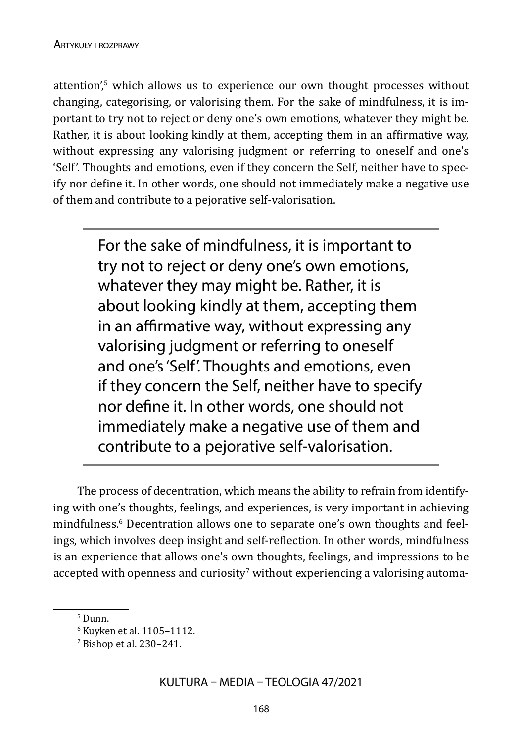attention',<sup>5</sup> which allows us to experience our own thought processes without changing, categorising, or valorising them. For the sake of mindfulness, it is important to try not to reject or deny one's own emotions, whatever they might be. Rather, it is about looking kindly at them, accepting them in an affirmative way, without expressing any valorising judgment or referring to oneself and one's 'Self'. Thoughts and emotions, even if they concern the Self, neither have to specify nor define it. In other words, one should not immediately make a negative use of them and contribute to a pejorative self-valorisation.

> For the sake of mindfulness, it is important to try not to reject or deny one's own emotions, whatever they may might be. Rather, it is about looking kindly at them, accepting them in an affirmative way, without expressing any valorising judgment or referring to oneself and one's 'Self'. Thoughts and emotions, even if they concern the Self, neither have to specify nor define it. In other words, one should not immediately make a negative use of them and contribute to a pejorative self-valorisation.

The process of decentration, which means the ability to refrain from identifying with one's thoughts, feelings, and experiences, is very important in achieving mindfulness.<sup>6</sup> Decentration allows one to separate one's own thoughts and feelings, which involves deep insight and self-reflection. In other words, mindfulness is an experience that allows one's own thoughts, feelings, and impressions to be accepted with openness and curiosity $^7$  without experiencing a valorising automa-

<sup>5</sup>  Dunn.

<sup>6</sup>  Kuyken et al. 1105–1112.

 $\frac{7}{2}$  Bishop et al. 230–241.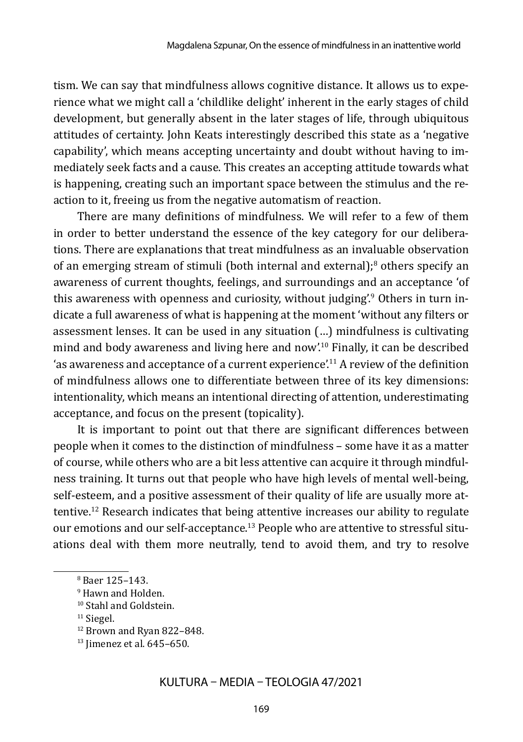tism. We can say that mindfulness allows cognitive distance. It allows us to experience what we might call a 'childlike delight' inherent in the early stages of child development, but generally absent in the later stages of life, through ubiquitous attitudes of certainty. John Keats interestingly described this state as a 'negative capability', which means accepting uncertainty and doubt without having to immediately seek facts and a cause. This creates an accepting attitude towards what is happening, creating such an important space between the stimulus and the reaction to it, freeing us from the negative automatism of reaction.

There are many definitions of mindfulness. We will refer to a few of them in order to better understand the essence of the key category for our deliberations. There are explanations that treat mindfulness as an invaluable observation of an emerging stream of stimuli (both internal and external);<sup>8</sup> others specify an awareness of current thoughts, feelings, and surroundings and an acceptance 'of this awareness with openness and curiosity, without judging'.<sup>9</sup> Others in turn indicate a full awareness of what is happening at the moment 'without any filters or assessment lenses. It can be used in any situation (…) mindfulness is cultivating mind and body awareness and living here and now'.10 Finally, it can be described 'as awareness and acceptance of a current experience'.11 A review of the definition of mindfulness allows one to differentiate between three of its key dimensions: intentionality, which means an intentional directing of attention, underestimating acceptance, and focus on the present (topicality).

It is important to point out that there are significant differences between people when it comes to the distinction of mindfulness – some have it as a matter of course, while others who are a bit less attentive can acquire it through mindfulness training. It turns out that people who have high levels of mental well-being, self-esteem, and a positive assessment of their quality of life are usually more attentive.12 Research indicates that being attentive increases our ability to regulate our emotions and our self-acceptance.13 People who are attentive to stressful situations deal with them more neutrally, tend to avoid them, and try to resolve

<sup>8</sup>  Baer 125–143.

<sup>9</sup>  Hawn and Holden.

<sup>10</sup>Stahl and Goldstein.

<sup>11</sup>Siegel.

<sup>12</sup>Brown and Ryan 822–848.

<sup>13</sup>Jimenez et al. 645–650.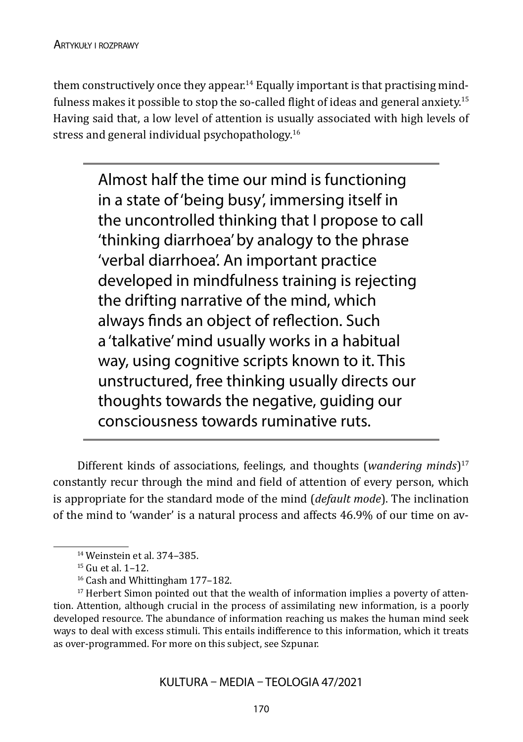them constructively once they appear.<sup>14</sup> Equally important is that practising mindfulness makes it possible to stop the so-called flight of ideas and general anxiety.<sup>15</sup> Having said that, a low level of attention is usually associated with high levels of stress and general individual psychopathology.<sup>16</sup>

> Almost half the time our mind is functioning in a state of 'being busy', immersing itself in the uncontrolled thinking that I propose to call 'thinking diarrhoea' by analogy to the phrase 'verbal diarrhoea'. An important practice developed in mindfulness training is rejecting the drifting narrative of the mind, which always finds an object of reflection. Such a 'talkative' mind usually works in a habitual way, using cognitive scripts known to it. This unstructured, free thinking usually directs our thoughts towards the negative, guiding our consciousness towards ruminative ruts.

Different kinds of associations, feelings, and thoughts (*wandering minds*)<sup>17</sup> constantly recur through the mind and field of attention of every person, which is appropriate for the standard mode of the mind (*default mode*). The inclination of the mind to 'wander' is a natural process and affects 46.9% of our time on av-

<sup>14</sup>Weinstein et al. 374–385.

<sup>15</sup>Gu et al. 1–12.

<sup>16</sup>Cash and Whittingham 177–182.

<sup>&</sup>lt;sup>17</sup> Herbert Simon pointed out that the wealth of information implies a poverty of attention. Attention, although crucial in the process of assimilating new information, is a poorly developed resource. The abundance of information reaching us makes the human mind seek ways to deal with excess stimuli. This entails indifference to this information, which it treats as over-programmed. For more on this subject, see Szpunar.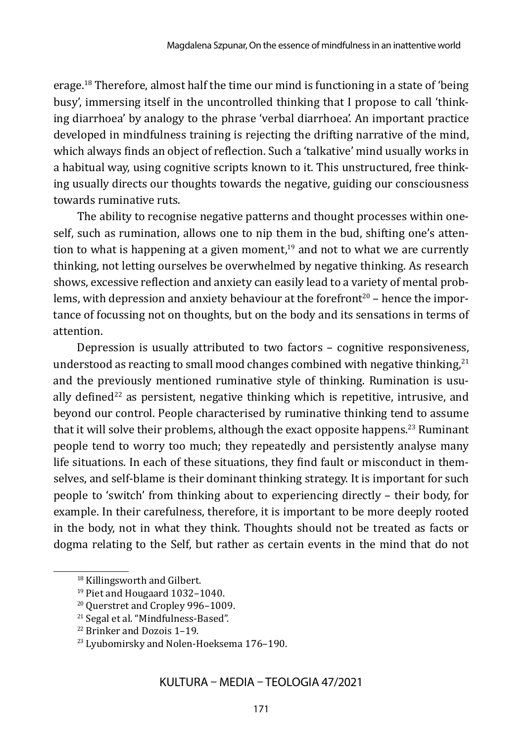erage.18 Therefore, almost half the time our mind is functioning in a state of 'being busy', immersing itself in the uncontrolled thinking that I propose to call 'thinking diarrhoea' by analogy to the phrase 'verbal diarrhoea'. An important practice developed in mindfulness training is rejecting the drifting narrative of the mind, which always finds an object of reflection. Such a 'talkative' mind usually works in a habitual way, using cognitive scripts known to it. This unstructured, free thinking usually directs our thoughts towards the negative, guiding our consciousness towards ruminative ruts.

The ability to recognise negative patterns and thought processes within oneself, such as rumination, allows one to nip them in the bud, shifting one's attention to what is happening at a given moment, $19$  and not to what we are currently thinking, not letting ourselves be overwhelmed by negative thinking. As research shows, excessive reflection and anxiety can easily lead to a variety of mental problems, with depression and anxiety behaviour at the forefront<sup>20</sup> – hence the importance of focussing not on thoughts, but on the body and its sensations in terms of attention.

Depression is usually attributed to two factors – cognitive responsiveness, understood as reacting to small mood changes combined with negative thinking, $^{21}$ and the previously mentioned ruminative style of thinking. Rumination is usually defined<sup>22</sup> as persistent, negative thinking which is repetitive, intrusive, and beyond our control. People characterised by ruminative thinking tend to assume that it will solve their problems, although the exact opposite happens.<sup>23</sup> Ruminant people tend to worry too much; they repeatedly and persistently analyse many life situations. In each of these situations, they find fault or misconduct in themselves, and self-blame is their dominant thinking strategy. It is important for such people to 'switch' from thinking about to experiencing directly – their body, for example. In their carefulness, therefore, it is important to be more deeply rooted in the body, not in what they think. Thoughts should not be treated as facts or dogma relating to the Self, but rather as certain events in the mind that do not

<sup>18</sup>Killingsworth and Gilbert.

<sup>19</sup>Piet and Hougaard 1032–1040.

<sup>20</sup>Querstret and Cropley 996–1009.

<sup>21</sup>Segal et al. "Mindfulness-Based".

<sup>22</sup>Brinker and Dozois 1–19.

<sup>23</sup>Lyubomirsky and Nolen-Hoeksema 176–190.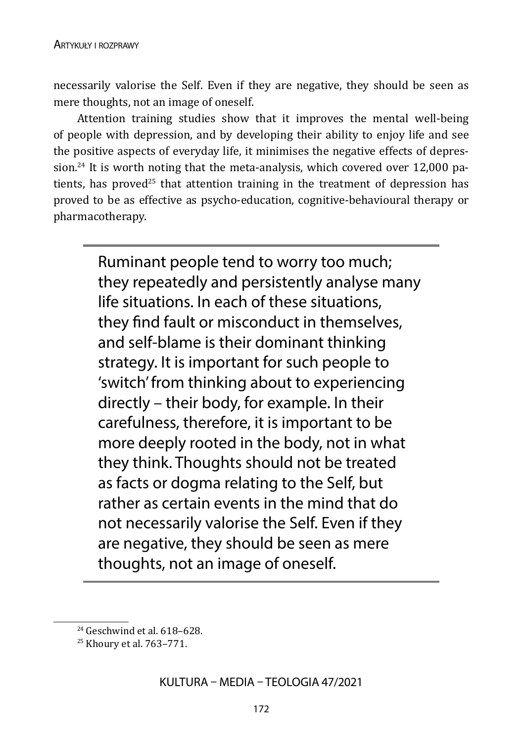necessarily valorise the Self. Even if they are negative, they should be seen as mere thoughts, not an image of oneself.

Attention training studies show that it improves the mental well-being of people with depression, and by developing their ability to enjoy life and see the positive aspects of everyday life, it minimises the negative effects of depression.<sup>24</sup> It is worth noting that the meta-analysis, which covered over 12,000 patients, has proved<sup>25</sup> that attention training in the treatment of depression has proved to be as effective as psycho-education, cognitive-behavioural therapy or pharmacotherapy.

> Ruminant people tend to worry too much; they repeatedly and persistently analyse many life situations. In each of these situations, they find fault or misconduct in themselves, and self-blame is their dominant thinking strategy. It is important for such people to 'switch' from thinking about to experiencing directly – their body, for example. In their carefulness, therefore, it is important to be more deeply rooted in the body, not in what they think. Thoughts should not be treated as facts or dogma relating to the Self, but rather as certain events in the mind that do not necessarily valorise the Self. Even if they are negative, they should be seen as mere thoughts, not an image of oneself.

<sup>24</sup>Geschwind et al. 618–628.

<sup>25</sup>Khoury et al. 763–771.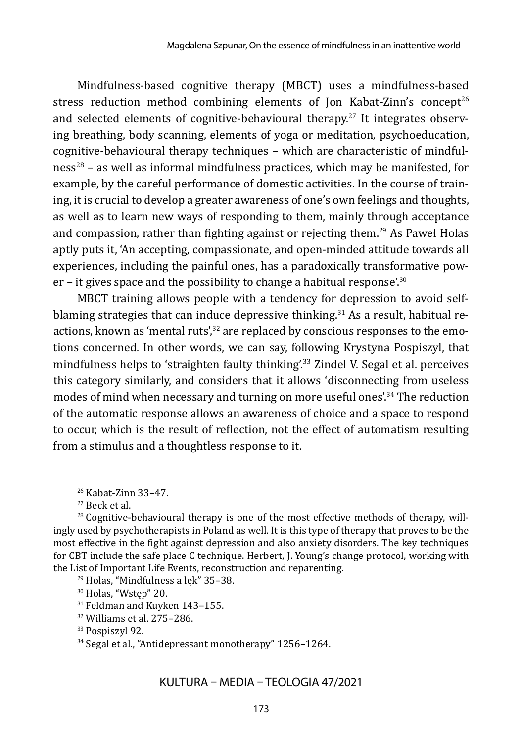Mindfulness-based cognitive therapy (MBCT) uses a mindfulness-based stress reduction method combining elements of Jon Kabat-Zinn's concept<sup>26</sup> and selected elements of cognitive-behavioural therapy.<sup>27</sup> It integrates observing breathing, body scanning, elements of yoga or meditation, psychoeducation, cognitive-behavioural therapy techniques – which are characteristic of mindful $ness^{28}$  – as well as informal mindfulness practices, which may be manifested, for example, by the careful performance of domestic activities. In the course of training, it is crucial to develop a greater awareness of one's own feelings and thoughts, as well as to learn new ways of responding to them, mainly through acceptance and compassion, rather than fighting against or rejecting them.<sup>29</sup> As Paweł Holas aptly puts it, 'An accepting, compassionate, and open-minded attitude towards all experiences, including the painful ones, has a paradoxically transformative power – it gives space and the possibility to change a habitual response'.<sup>30</sup>

MBCT training allows people with a tendency for depression to avoid selfblaming strategies that can induce depressive thinking.<sup>31</sup> As a result, habitual reactions, known as 'mental ruts',<sup>32</sup> are replaced by conscious responses to the emotions concerned. In other words, we can say, following Krystyna Pospiszyl, that mindfulness helps to 'straighten faulty thinking'.<sup>33</sup> Zindel V. Segal et al. perceives this category similarly, and considers that it allows 'disconnecting from useless modes of mind when necessary and turning on more useful ones<sup>'34</sup> The reduction of the automatic response allows an awareness of choice and a space to respond to occur, which is the result of reflection, not the effect of automatism resulting from a stimulus and a thoughtless response to it.

<sup>28</sup> Cognitive-behavioural therapy is one of the most effective methods of therapy, willingly used by psychotherapists in Poland as well. It is this type of therapy that proves to be the most effective in the fight against depression and also anxiety disorders. The key techniques for CBT include the safe place C technique. Herbert, J. Young's change protocol, working with the List of Important Life Events, reconstruction and reparenting.

29 Holas, "Mindfulness a lęk" 35–38.

30 Holas, "Wstęp" 20.

31 Feldman and Kuyken 143–155.

32 Williams et al. 275–286.

<sup>33</sup> Pospiszyl 92.

34 Segal et al., "Antidepressant monotherapy" 1256–1264.

KULTURA – MEDIA – TEOLOGIA 47/2021

<sup>26</sup>Kabat-Zinn 33–47.

<sup>27</sup>Beck et al.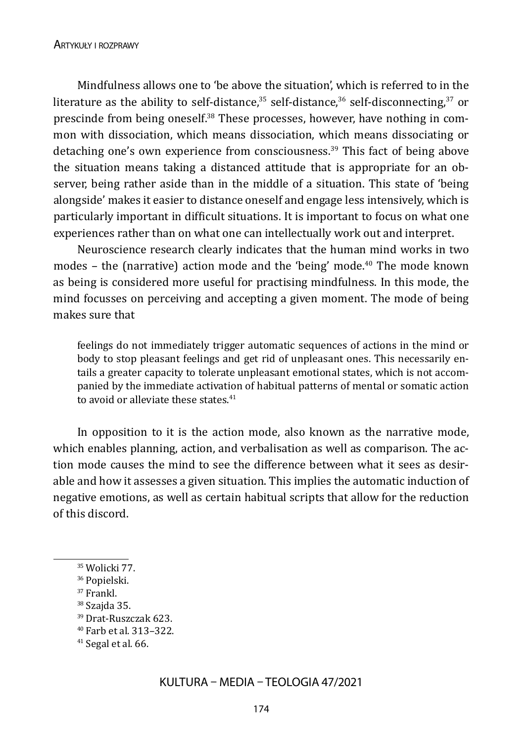Mindfulness allows one to 'be above the situation', which is referred to in the literature as the ability to self-distance,<sup>35</sup> self-distance,<sup>36</sup> self-disconnecting,<sup>37</sup> or prescinde from being oneself.<sup>38</sup> These processes, however, have nothing in common with dissociation, which means dissociation, which means dissociating or detaching one's own experience from consciousness.39 This fact of being above the situation means taking a distanced attitude that is appropriate for an observer, being rather aside than in the middle of a situation. This state of 'being alongside' makes it easier to distance oneself and engage less intensively, which is particularly important in difficult situations. It is important to focus on what one experiences rather than on what one can intellectually work out and interpret.

Neuroscience research clearly indicates that the human mind works in two modes - the (narrative) action mode and the 'being' mode.<sup>40</sup> The mode known as being is considered more useful for practising mindfulness. In this mode, the mind focusses on perceiving and accepting a given moment. The mode of being makes sure that

feelings do not immediately trigger automatic sequences of actions in the mind or body to stop pleasant feelings and get rid of unpleasant ones. This necessarily entails a greater capacity to tolerate unpleasant emotional states, which is not accompanied by the immediate activation of habitual patterns of mental or somatic action to avoid or alleviate these states.<sup>41</sup>

In opposition to it is the action mode, also known as the narrative mode, which enables planning, action, and verbalisation as well as comparison. The action mode causes the mind to see the difference between what it sees as desirable and how it assesses a given situation. This implies the automatic induction of negative emotions, as well as certain habitual scripts that allow for the reduction of this discord.

39 Drat-Ruszczak 623.

<sup>35</sup>Wolicki 77.

<sup>36</sup>Popielski.

<sup>37</sup>Frankl.

<sup>38</sup>Szajda 35.

<sup>40</sup>Farb et al. 313–322.

<sup>41</sup>Segal et al. 66.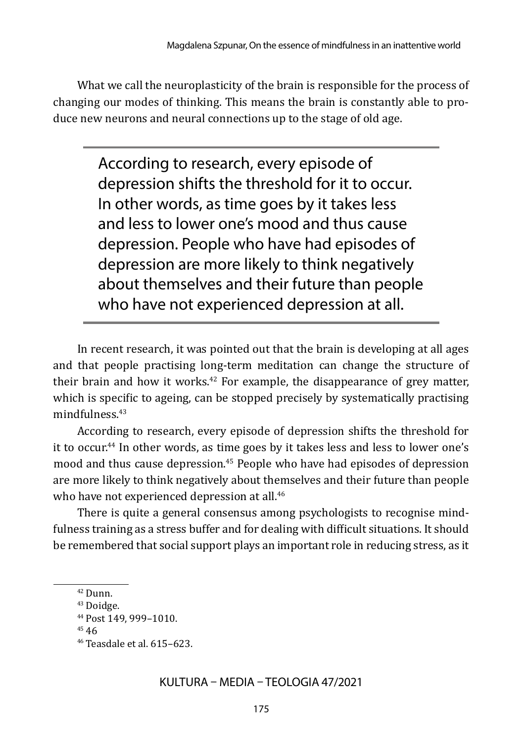What we call the neuroplasticity of the brain is responsible for the process of changing our modes of thinking. This means the brain is constantly able to produce new neurons and neural connections up to the stage of old age.

> According to research, every episode of depression shifts the threshold for it to occur. In other words, as time goes by it takes less and less to lower one's mood and thus cause depression. People who have had episodes of depression are more likely to think negatively about themselves and their future than people who have not experienced depression at all.

In recent research, it was pointed out that the brain is developing at all ages and that people practising long-term meditation can change the structure of their brain and how it works. $42$  For example, the disappearance of grey matter, which is specific to ageing, can be stopped precisely by systematically practising mindfulness.43

According to research, every episode of depression shifts the threshold for it to occur.<sup>44</sup> In other words, as time goes by it takes less and less to lower one's mood and thus cause depression.45 People who have had episodes of depression are more likely to think negatively about themselves and their future than people who have not experienced depression at all.<sup>46</sup>

There is quite a general consensus among psychologists to recognise mindfulness training as a stress buffer and for dealing with difficult situations. It should be remembered that social support plays an important role in reducing stress, as it

<sup>42</sup>Dunn.

<sup>43</sup>Doidge.

<sup>44</sup>Post 149, 999–1010.

<sup>45 46</sup>

<sup>46</sup>Teasdale et al. 615–623.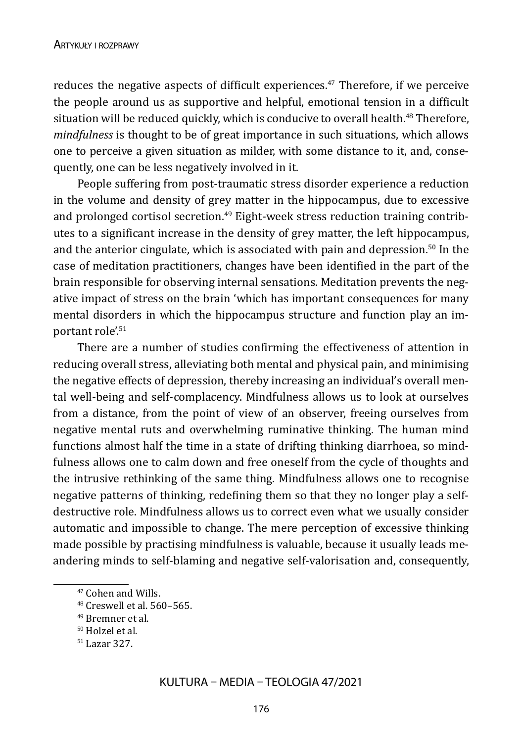reduces the negative aspects of difficult experiences.<sup> $47$ </sup> Therefore, if we perceive the people around us as supportive and helpful, emotional tension in a difficult situation will be reduced quickly, which is conducive to overall health.<sup>48</sup> Therefore, *mindfulness* is thought to be of great importance in such situations, which allows one to perceive a given situation as milder, with some distance to it, and, consequently, one can be less negatively involved in it.

People suffering from post-traumatic stress disorder experience a reduction in the volume and density of grey matter in the hippocampus, due to excessive and prolonged cortisol secretion.<sup>49</sup> Eight-week stress reduction training contributes to a significant increase in the density of grey matter, the left hippocampus, and the anterior cingulate, which is associated with pain and depression.<sup>50</sup> In the case of meditation practitioners, changes have been identified in the part of the brain responsible for observing internal sensations. Meditation prevents the negative impact of stress on the brain 'which has important consequences for many mental disorders in which the hippocampus structure and function play an important role'.<sup>51</sup>

There are a number of studies confirming the effectiveness of attention in reducing overall stress, alleviating both mental and physical pain, and minimising the negative effects of depression, thereby increasing an individual's overall mental well-being and self-complacency. Mindfulness allows us to look at ourselves from a distance, from the point of view of an observer, freeing ourselves from negative mental ruts and overwhelming ruminative thinking. The human mind functions almost half the time in a state of drifting thinking diarrhoea, so mindfulness allows one to calm down and free oneself from the cycle of thoughts and the intrusive rethinking of the same thing. Mindfulness allows one to recognise negative patterns of thinking, redefining them so that they no longer play a selfdestructive role. Mindfulness allows us to correct even what we usually consider automatic and impossible to change. The mere perception of excessive thinking made possible by practising mindfulness is valuable, because it usually leads meandering minds to self-blaming and negative self-valorisation and, consequently,

<sup>47</sup>Cohen and Wills.

<sup>48</sup>Creswell et al. 560–565.

<sup>49</sup>Bremner et al.

<sup>50</sup>Holzel et al.

<sup>51</sup>Lazar 327.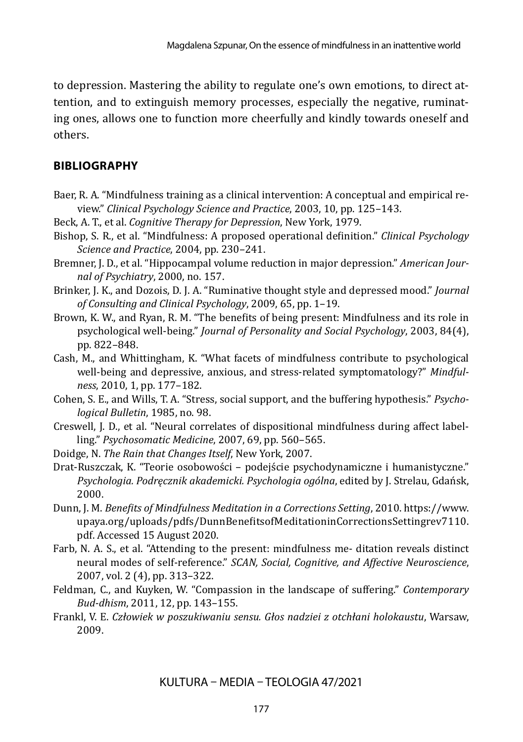to depression. Mastering the ability to regulate one's own emotions, to direct attention, and to extinguish memory processes, especially the negative, ruminating ones, allows one to function more cheerfully and kindly towards oneself and others.

#### **BIBLIOGRAPHY**

- Baer, R. A. "Mindfulness training as a clinical intervention: A conceptual and empirical review." *Clinical Psychology Science and Practice*, 2003, 10, pp. 125–143.
- Beck, A. T., et al. *Cognitive Therapy for Depression*, New York, 1979.
- Bishop, S. R., et al. "Mindfulness: A proposed operational definition." *Clinical Psychology Science and Practice*, 2004, pp. 230–241.
- Bremner, J. D., et al. "Hippocampal volume reduction in major depression." *American Journal of Psychiatry*, 2000, no. 157.
- Brinker, J. K., and Dozois, D. J. A. "Ruminative thought style and depressed mood." *Journal of Consulting and Clinical Psychology*, 2009, 65, pp. 1–19.
- Brown, K. W., and Ryan, R. M. "The benefits of being present: Mindfulness and its role in psychological well-being." *Journal of Personality and Social Psychology*, 2003, 84(4), pp. 822–848.
- Cash, M., and Whittingham, K. "What facets of mindfulness contribute to psychological well-being and depressive, anxious, and stress-related symptomatology?" *Mindfulness*, 2010, 1, pp. 177–182.
- Cohen, S. E., and Wills, T. A. "Stress, social support, and the buffering hypothesis." *Psychological Bulletin*, 1985, no. 98.
- Creswell, J. D., et al. "Neural correlates of dispositional mindfulness during affect labelling." *Psychosomatic Medicine*, 2007, 69, pp. 560–565.
- Doidge, N. *The Rain that Changes Itself*, New York, 2007.
- Drat-Ruszczak, K. "Teorie osobowości podejście psychodynamiczne i humanistyczne." *Psychologia. Podręcznik akademicki. Psychologia ogólna*, edited by J. Strelau, Gdańsk, 2000.
- Dunn, J. M. *Benefits of Mindfulness Meditation in a Corrections Setting*, 2010. https://www. upaya.org/uploads/pdfs/DunnBenefitsofMeditationinCorrectionsSettingrev7110. pdf. Accessed 15 August 2020.
- Farb, N. A. S., et al. "Attending to the present: mindfulness me- ditation reveals distinct neural modes of self-reference." *SCAN, Social, Cognitive, and Affective Neuroscience*, 2007, vol. 2 (4), pp. 313–322.
- Feldman, C., and Kuyken, W. "Compassion in the landscape of suffering." *Contemporary Bud-dhism*, 2011, 12, pp. 143–155.
- Frankl, V. E. *Człowiek w poszukiwaniu sensu. Głos nadziei z otchłani holokaustu*, Warsaw, 2009.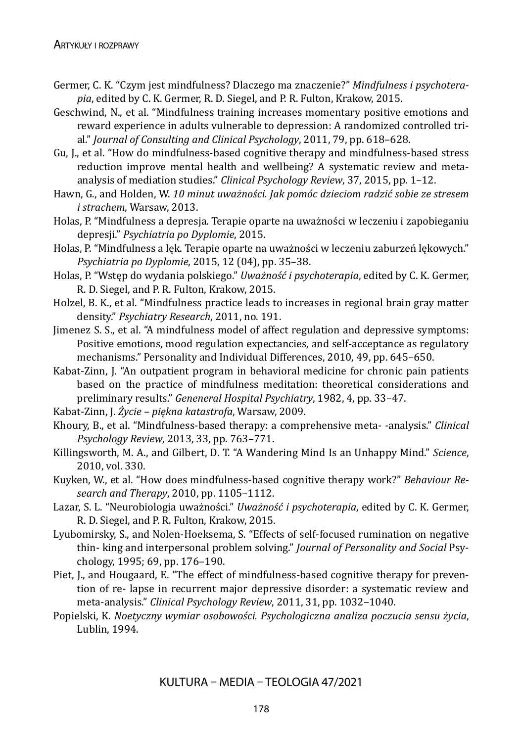- Germer, C. K. "Czym jest mindfulness? Dlaczego ma znaczenie?" *Mindfulness i psychoterapia*, edited by C. K. Germer, R. D. Siegel, and P. R. Fulton, Krakow, 2015.
- Geschwind, N., et al. "Mindfulness training increases momentary positive emotions and reward experience in adults vulnerable to depression: A randomized controlled trial." *Journal of Consulting and Clinical Psychology*, 2011, 79, pp. 618–628.
- Gu, J., et al. "How do mindfulness-based cognitive therapy and mindfulness-based stress reduction improve mental health and wellbeing? A systematic review and metaanalysis of mediation studies." *Clinical Psychology Review*, 37, 2015, pp. 1–12.
- Hawn, G., and Holden, W. *10 minut uważności. Jak pomóc dzieciom radzić sobie ze stresem i strachem*, Warsaw, 2013.
- Holas, P. "Mindfulness a depresja. Terapie oparte na uważności w leczeniu i zapobieganiu depresji." *Psychiatria po Dyplomie*, 2015.
- Holas, P. "Mindfulness a lęk. Terapie oparte na uważności w leczeniu zaburzeń lękowych." *Psychiatria po Dyplomie*, 2015, 12 (04), pp. 35–38.
- Holas, P. "Wstęp do wydania polskiego." *Uważność i psychoterapia*, edited by C. K. Germer, R. D. Siegel, and P. R. Fulton, Krakow, 2015.
- Holzel, B. K., et al. "Mindfulness practice leads to increases in regional brain gray matter density." *Psychiatry Research*, 2011, no. 191.
- Jimenez S. S., et al. "A mindfulness model of affect regulation and depressive symptoms: Positive emotions, mood regulation expectancies, and self-acceptance as regulatory mechanisms." Personality and Individual Differences, 2010, 49, pp. 645–650.
- Kabat-Zinn, J. "An outpatient program in behavioral medicine for chronic pain patients based on the practice of mindfulness meditation: theoretical considerations and preliminary results." *Geneneral Hospital Psychiatry*, 1982, 4, pp. 33–47.
- Kabat-Zinn, J. *Życie piękna katastrofa*, Warsaw, 2009.
- Khoury, B., et al. "Mindfulness-based therapy: a comprehensive meta- -analysis." *Clinical Psychology Review*, 2013, 33, pp. 763–771.
- Killingsworth, M. A., and Gilbert, D. T. "A Wandering Mind Is an Unhappy Mind." *Science*, 2010, vol. 330.
- Kuyken, W., et al. "How does mindfulness-based cognitive therapy work?" *Behaviour Research and Therapy*, 2010, pp. 1105–1112.
- Lazar, S. L. "Neurobiologia uważności." *Uważność i psychoterapia*, edited by C. K. Germer, R. D. Siegel, and P. R. Fulton, Krakow, 2015.
- Lyubomirsky, S., and Nolen-Hoeksema, S. "Effects of self-focused rumination on negative thin- king and interpersonal problem solving." *Journal of Personality and Social* Psychology, 1995; 69, pp. 176–190.
- Piet, J., and Hougaard, E. "The effect of mindfulness-based cognitive therapy for prevention of re- lapse in recurrent major depressive disorder: a systematic review and meta-analysis." *Clinical Psychology Review*, 2011, 31, pp. 1032–1040.
- Popielski, K. *Noetyczny wymiar osobowości. Psychologiczna analiza poczucia sensu życia*, Lublin, 1994.